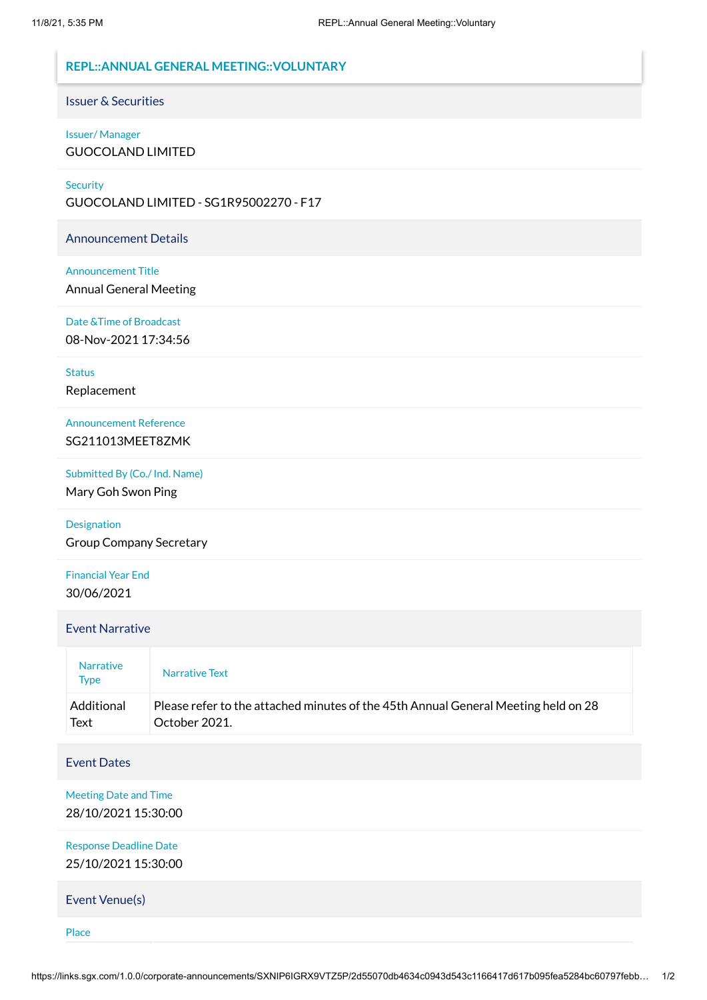# <span id="page-0-0"></span>**REPL::ANNUAL GENERAL MEETING::VOLUNTARY**

Issuer & Securities

#### Issuer/ Manager

GUOCOLAND LIMITED

#### **Security**

GUOCOLAND LIMITED - SG1R95002270 - F17

Announcement Details

#### Announcement Title

Annual General Meeting

Date &Time of Broadcast

08-Nov-2021 17:34:56

**Status** Replacement

Announcement Reference SG211013MEET8ZMK

Submitted By (Co./ Ind. Name)

Mary Goh Swon Ping

# Designation Group Company Secretary

Financial Year End 30/06/2021

#### Event Narrative

| <b>Narrative</b><br><b>Type</b> | Narrative Text                                                                     |
|---------------------------------|------------------------------------------------------------------------------------|
| Additional                      | Please refer to the attached minutes of the 45th Annual General Meeting held on 28 |
| Text                            | October 2021.                                                                      |

#### Event Dates

Meeting Date and Time 28/10/2021 15:30:00

Response Deadline Date 25/10/2021 15:30:00

Event Venue(s)

Place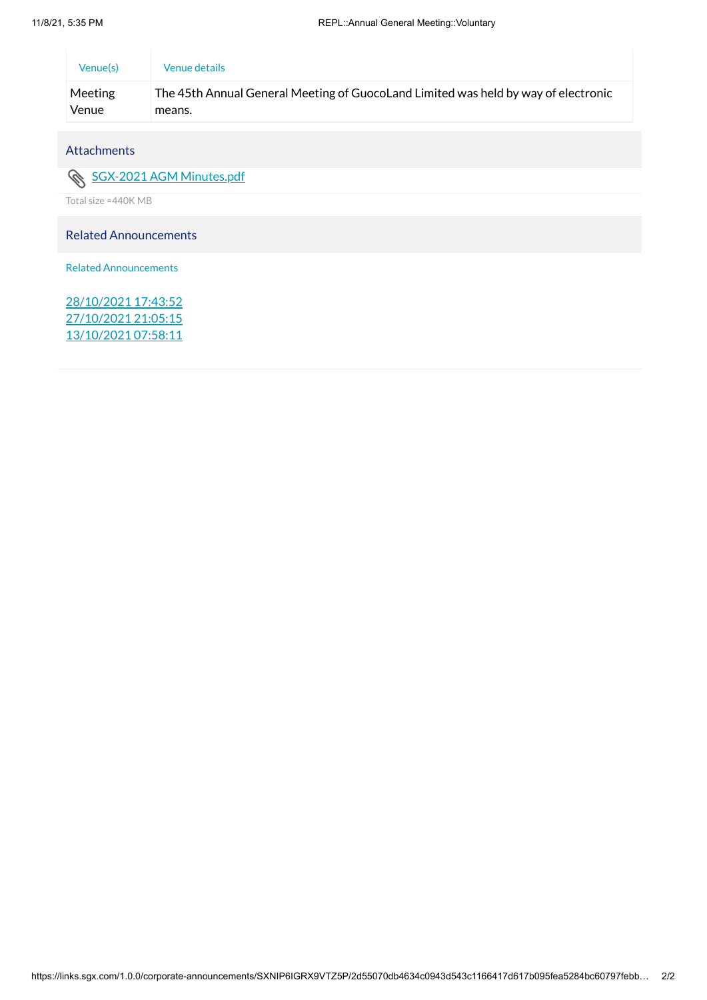| Venue(s) | Venue details                                                                      |
|----------|------------------------------------------------------------------------------------|
| Meeting  | The 45th Annual General Meeting of GuocoLand Limited was held by way of electronic |
| Venue    | means.                                                                             |

# Attachments

# SGX-2021 AGM [Minutes.pdf](https://links.sgx.com/1.0.0/corporate-announcements/SXNIP6IGRX9VTZ5P/689784_SGX-2021%20AGM%20Minutes.pdf)

Total size =440K MB

# Related Announcements

Related Announcements

[28/10/2021](#page-0-0) 17:43:52 [27/10/2021](#page-0-0) 21:05:15 [13/10/2021](#page-0-0) 07:58:11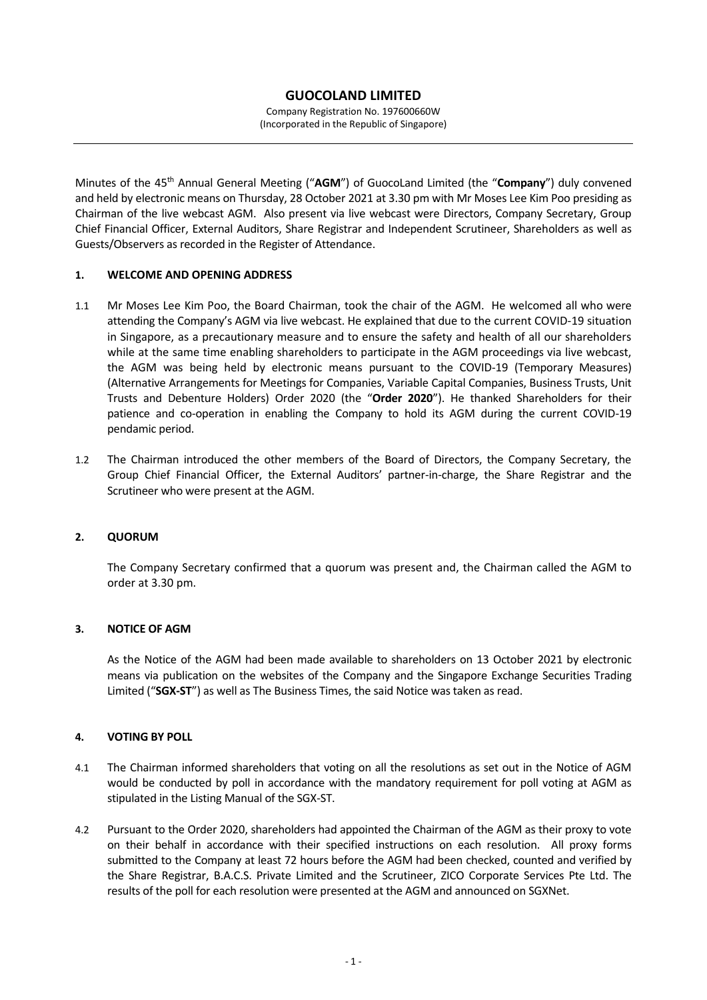Company Registration No. 197600660W (Incorporated in the Republic of Singapore)

Minutes of the 45<sup>th</sup> Annual General Meeting ("AGM") of GuocoLand Limited (the "Company") duly convened and held by electronic means on Thursday, 28 October 2021 at 3.30 pm with Mr Moses Lee Kim Poo presiding as Chairman of the live webcast AGM. Also present via live webcast were Directors, Company Secretary, Group Chief Financial Officer, External Auditors, Share Registrar and Independent Scrutineer, Shareholders as well as Guests/Observers as recorded in the Register of Attendance.

# **1. WELCOME AND OPENING ADDRESS**

- 1.1 Mr Moses Lee Kim Poo, the Board Chairman, took the chair of the AGM. He welcomed all who were attending the Company's AGM via live webcast. He explained that due to the current COVID-19 situation in Singapore, as a precautionary measure and to ensure the safety and health of all our shareholders while at the same time enabling shareholders to participate in the AGM proceedings via live webcast, the AGM was being held by electronic means pursuant to the COVID-19 (Temporary Measures) (Alternative Arrangements for Meetings for Companies, Variable Capital Companies, Business Trusts, Unit Trusts and Debenture Holders) Order 2020 (the "**Order 2020**"). He thanked Shareholders for their patience and co-operation in enabling the Company to hold its AGM during the current COVID-19 pendamic period.
- 1.2 The Chairman introduced the other members of the Board of Directors, the Company Secretary, the Group Chief Financial Officer, the External Auditors' partner-in-charge, the Share Registrar and the Scrutineer who were present at the AGM.

#### **2. QUORUM**

The Company Secretary confirmed that a quorum was present and, the Chairman called the AGM to order at 3.30 pm.

#### **3. NOTICE OF AGM**

As the Notice of the AGM had been made available to shareholders on 13 October 2021 by electronic means via publication on the websites of the Company and the Singapore Exchange Securities Trading Limited ("**SGX-ST**") as well as The Business Times, the said Notice was taken as read.

#### **4. VOTING BY POLL**

- 4.1 The Chairman informed shareholders that voting on all the resolutions as set out in the Notice of AGM would be conducted by poll in accordance with the mandatory requirement for poll voting at AGM as stipulated in the Listing Manual of the SGX-ST.
- 4.2 Pursuant to the Order 2020, shareholders had appointed the Chairman of the AGM as their proxy to vote on their behalf in accordance with their specified instructions on each resolution. All proxy forms submitted to the Company at least 72 hours before the AGM had been checked, counted and verified by the Share Registrar, B.A.C.S. Private Limited and the Scrutineer, ZICO Corporate Services Pte Ltd. The results of the poll for each resolution were presented at the AGM and announced on SGXNet.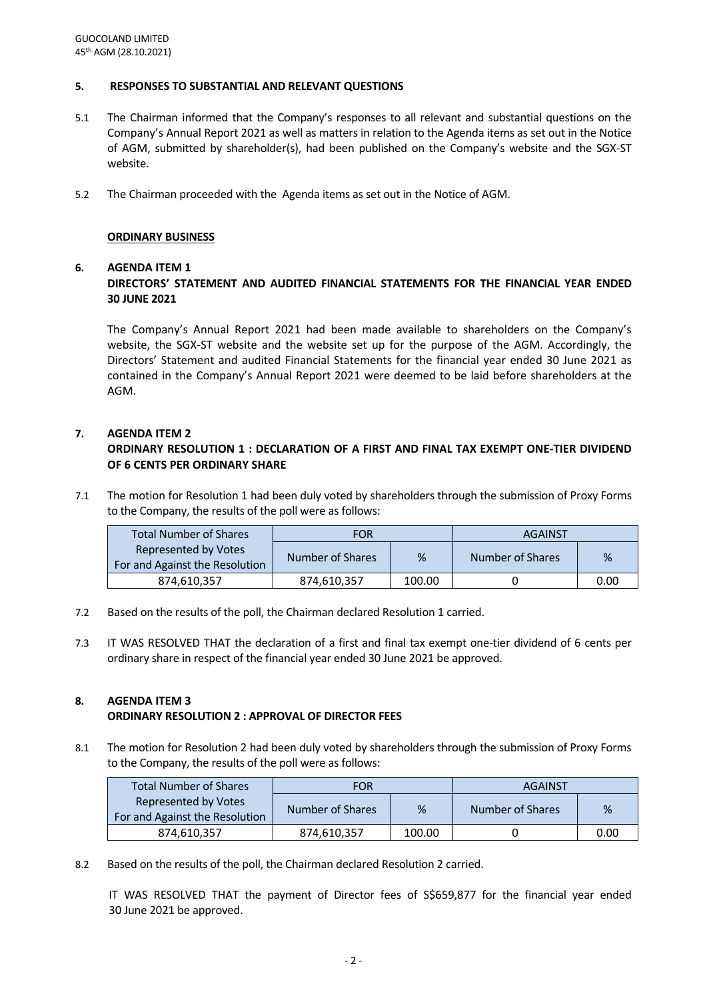#### **5. RESPONSES TO SUBSTANTIAL AND RELEVANT QUESTIONS**

- 5.1 The Chairman informed that the Company's responses to all relevant and substantial questions on the Company's Annual Report 2021 as well as matters in relation to the Agenda items as set out in the Notice of AGM, submitted by shareholder(s), had been published on the Company's website and the SGX-ST website.
- 5.2 The Chairman proceeded with the Agenda items as set out in the Notice of AGM.

#### **ORDINARY BUSINESS**

#### **6. AGENDA ITEM 1**

# **DIRECTORS' STATEMENT AND AUDITED FINANCIAL STATEMENTS FOR THE FINANCIAL YEAR ENDED 30 JUNE 2021**

The Company's Annual Report 2021 had been made available to shareholders on the Company's website, the SGX-ST website and the website set up for the purpose of the AGM. Accordingly, the Directors' Statement and audited Financial Statements for the financial year ended 30 June 2021 as contained in the Company's Annual Report 2021 were deemed to be laid before shareholders at the AGM.

#### **7. AGENDA ITEM 2**

# **ORDINARY RESOLUTION 1 : DECLARATION OF A FIRST AND FINAL TAX EXEMPT ONE-TIER DIVIDEND OF 6 CENTS PER ORDINARY SHARE**

7.1 The motion for Resolution 1 had been duly voted by shareholders through the submission of Proxy Forms to the Company, the results of the poll were as follows:

| <b>Total Number of Shares</b>                          | FOR              |        | <b>AGAINST</b>   |      |
|--------------------------------------------------------|------------------|--------|------------------|------|
| Represented by Votes<br>For and Against the Resolution | Number of Shares | %      | Number of Shares | %    |
| 874.610.357                                            | 874,610,357      | 100.00 |                  | 0.00 |

- 7.2 Based on the results of the poll, the Chairman declared Resolution 1 carried.
- 7.3 IT WAS RESOLVED THAT the declaration of a first and final tax exempt one-tier dividend of 6 cents per ordinary share in respect of the financial year ended 30 June 2021 be approved.

# **8. AGENDA ITEM 3**

# **ORDINARY RESOLUTION 2 : APPROVAL OF DIRECTOR FEES**

8.1 The motion for Resolution 2 had been duly voted by shareholders through the submission of Proxy Forms to the Company, the results of the poll were as follows:

| <b>Total Number of Shares</b>                          | FOR              |        | <b>AGAINST</b>   |      |
|--------------------------------------------------------|------------------|--------|------------------|------|
| Represented by Votes<br>For and Against the Resolution | Number of Shares | %      | Number of Shares | %    |
| 874,610,357                                            | 874,610,357      | 100.00 |                  | 0.00 |

8.2 Based on the results of the poll, the Chairman declared Resolution 2 carried.

IT WAS RESOLVED THAT the payment of Director fees of S\$659,877 for the financial year ended 30 June 2021 be approved.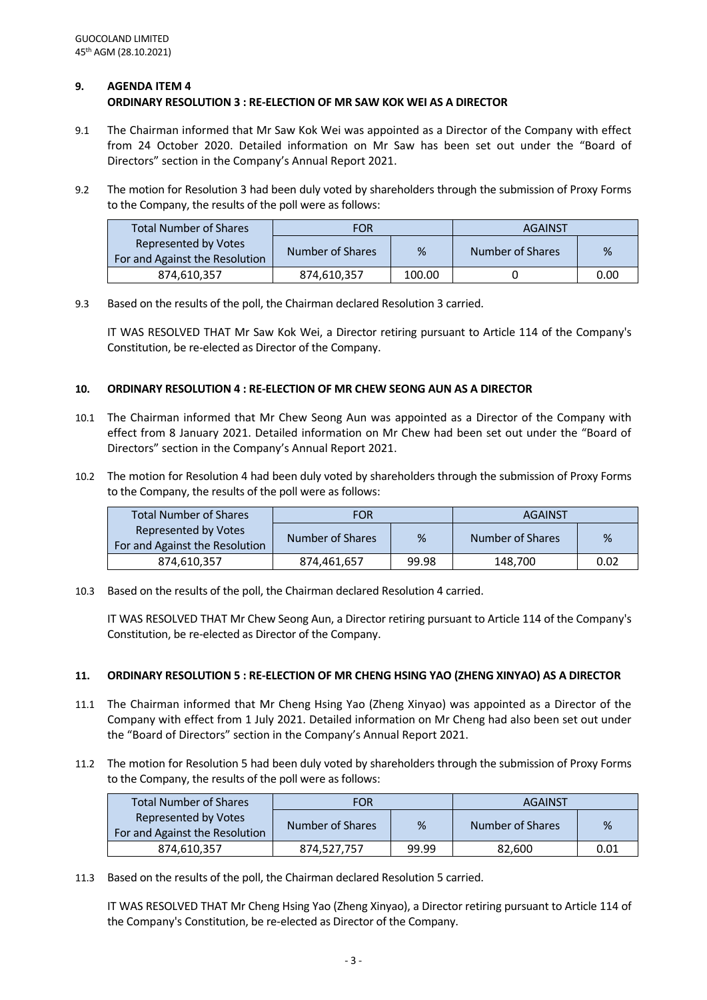## **9. AGENDA ITEM 4 ORDINARY RESOLUTION 3 : RE-ELECTION OF MR SAW KOK WEI AS A DIRECTOR**

- 9.1 The Chairman informed that Mr Saw Kok Wei was appointed as a Director of the Company with effect from 24 October 2020. Detailed information on Mr Saw has been set out under the "Board of Directors" section in the Company's Annual Report 2021.
- 9.2 The motion for Resolution 3 had been duly voted by shareholders through the submission of Proxy Forms to the Company, the results of the poll were as follows:

| <b>Total Number of Shares</b>                          | <b>FOR</b>       | <b>AGAINST</b> |                  |      |
|--------------------------------------------------------|------------------|----------------|------------------|------|
| Represented by Votes<br>For and Against the Resolution | Number of Shares | %              | Number of Shares | %    |
| 874,610,357                                            | 874.610.357      | 100.00         |                  | 0.00 |

9.3 Based on the results of the poll, the Chairman declared Resolution 3 carried.

IT WAS RESOLVED THAT Mr Saw Kok Wei, a Director retiring pursuant to Article 114 of the Company's Constitution, be re-elected as Director of the Company.

# **10. ORDINARY RESOLUTION 4 : RE-ELECTION OF MR CHEW SEONG AUN AS A DIRECTOR**

- 10.1 The Chairman informed that Mr Chew Seong Aun was appointed as a Director of the Company with effect from 8 January 2021. Detailed information on Mr Chew had been set out under the "Board of Directors" section in the Company's Annual Report 2021.
- 10.2 The motion for Resolution 4 had been duly voted by shareholders through the submission of Proxy Forms to the Company, the results of the poll were as follows:

| <b>Total Number of Shares</b>                          | <b>FOR</b>       |       | AGAINST          |      |
|--------------------------------------------------------|------------------|-------|------------------|------|
| Represented by Votes<br>For and Against the Resolution | Number of Shares | %     | Number of Shares | %    |
| 874,610,357                                            | 874.461.657      | 99.98 | 148,700          | 0.02 |

10.3 Based on the results of the poll, the Chairman declared Resolution 4 carried.

IT WAS RESOLVED THAT Mr Chew Seong Aun, a Director retiring pursuant to Article 114 of the Company's Constitution, be re-elected as Director of the Company.

# **11. ORDINARY RESOLUTION 5 : RE-ELECTION OF MR CHENG HSING YAO (ZHENG XINYAO) AS A DIRECTOR**

- 11.1 The Chairman informed that Mr Cheng Hsing Yao (Zheng Xinyao) was appointed as a Director of the Company with effect from 1 July 2021. Detailed information on Mr Cheng had also been set out under the "Board of Directors" section in the Company's Annual Report 2021.
- 11.2 The motion for Resolution 5 had been duly voted by shareholders through the submission of Proxy Forms to the Company, the results of the poll were as follows:

| <b>Total Number of Shares</b>                          | <b>FOR</b>       |       | AGAINST          |      |
|--------------------------------------------------------|------------------|-------|------------------|------|
| Represented by Votes<br>For and Against the Resolution | Number of Shares | %     | Number of Shares | %    |
| 874,610,357                                            | 874,527,757      | 99.99 | 82,600           | 0.01 |

11.3 Based on the results of the poll, the Chairman declared Resolution 5 carried.

IT WAS RESOLVED THAT Mr Cheng Hsing Yao (Zheng Xinyao), a Director retiring pursuant to Article 114 of the Company's Constitution, be re-elected as Director of the Company.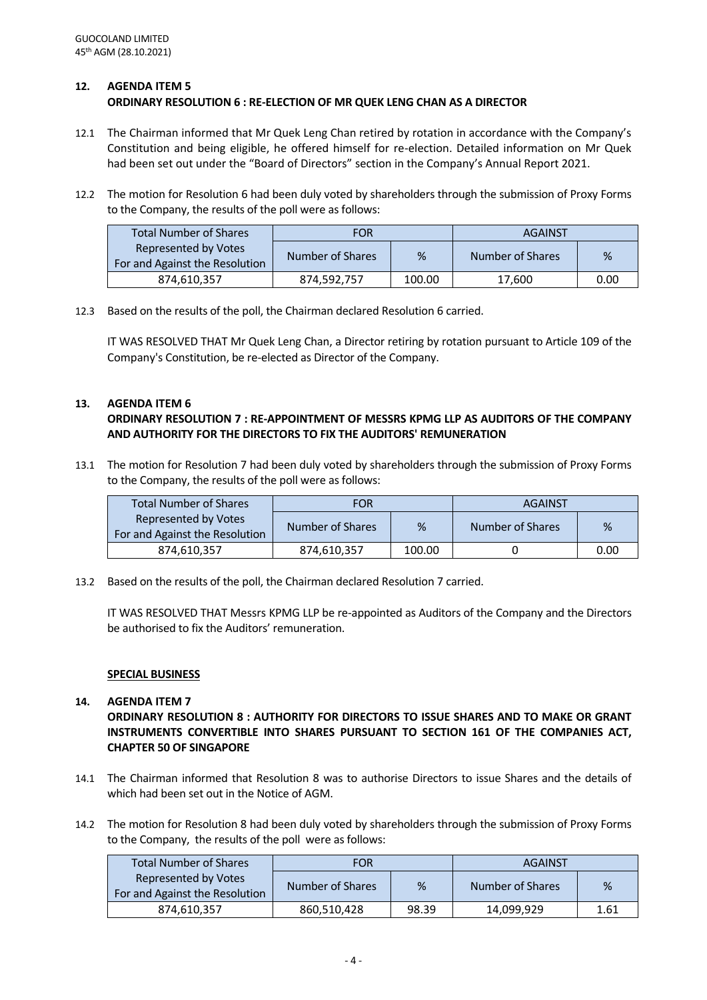## **12. AGENDA ITEM 5 ORDINARY RESOLUTION 6 : RE-ELECTION OF MR QUEK LENG CHAN AS A DIRECTOR**

- 12.1 The Chairman informed that Mr Quek Leng Chan retired by rotation in accordance with the Company's Constitution and being eligible, he offered himself for re-election. Detailed information on Mr Quek had been set out under the "Board of Directors" section in the Company's Annual Report 2021.
- 12.2 The motion for Resolution 6 had been duly voted by shareholders through the submission of Proxy Forms to the Company, the results of the poll were as follows:

| <b>Total Number of Shares</b>                                 | FOR              |        | AGAINST          |      |
|---------------------------------------------------------------|------------------|--------|------------------|------|
| <b>Represented by Votes</b><br>For and Against the Resolution | Number of Shares | %      | Number of Shares | %    |
| 874,610,357                                                   | 874,592,757      | 100.00 | 17,600           | 0.00 |

12.3 Based on the results of the poll, the Chairman declared Resolution 6 carried.

IT WAS RESOLVED THAT Mr Quek Leng Chan, a Director retiring by rotation pursuant to Article 109 of the Company's Constitution, be re-elected as Director of the Company.

# **13. AGENDA ITEM 6**

# **ORDINARY RESOLUTION 7 : RE-APPOINTMENT OF MESSRS KPMG LLP AS AUDITORS OF THE COMPANY AND AUTHORITY FOR THE DIRECTORS TO FIX THE AUDITORS' REMUNERATION**

13.1 The motion for Resolution 7 had been duly voted by shareholders through the submission of Proxy Forms to the Company, the results of the poll were as follows:

| <b>Total Number of Shares</b>                          | <b>FOR</b>       |        | <b>AGAINST</b>   |      |
|--------------------------------------------------------|------------------|--------|------------------|------|
| Represented by Votes<br>For and Against the Resolution | Number of Shares | %      | Number of Shares | %    |
| 874,610,357                                            | 874,610,357      | 100.00 |                  | 0.00 |

13.2 Based on the results of the poll, the Chairman declared Resolution 7 carried.

IT WAS RESOLVED THAT Messrs KPMG LLP be re-appointed as Auditors of the Company and the Directors be authorised to fix the Auditors' remuneration.

#### **SPECIAL BUSINESS**

# **14. AGENDA ITEM 7 ORDINARY RESOLUTION 8 : AUTHORITY FOR DIRECTORS TO ISSUE SHARES AND TO MAKE OR GRANT INSTRUMENTS CONVERTIBLE INTO SHARES PURSUANT TO SECTION 161 OF THE COMPANIES ACT, CHAPTER 50 OF SINGAPORE**

- 14.1 The Chairman informed that Resolution 8 was to authorise Directors to issue Shares and the details of which had been set out in the Notice of AGM.
- 14.2 The motion for Resolution 8 had been duly voted by shareholders through the submission of Proxy Forms to the Company, the results of the poll were as follows:

| <b>Total Number of Shares</b>                          | <b>FOR</b>       |       | <b>AGAINST</b>   |      |
|--------------------------------------------------------|------------------|-------|------------------|------|
| Represented by Votes<br>For and Against the Resolution | Number of Shares | %     | Number of Shares | %    |
| 874,610,357                                            | 860,510,428      | 98.39 | 14,099,929       | 1.61 |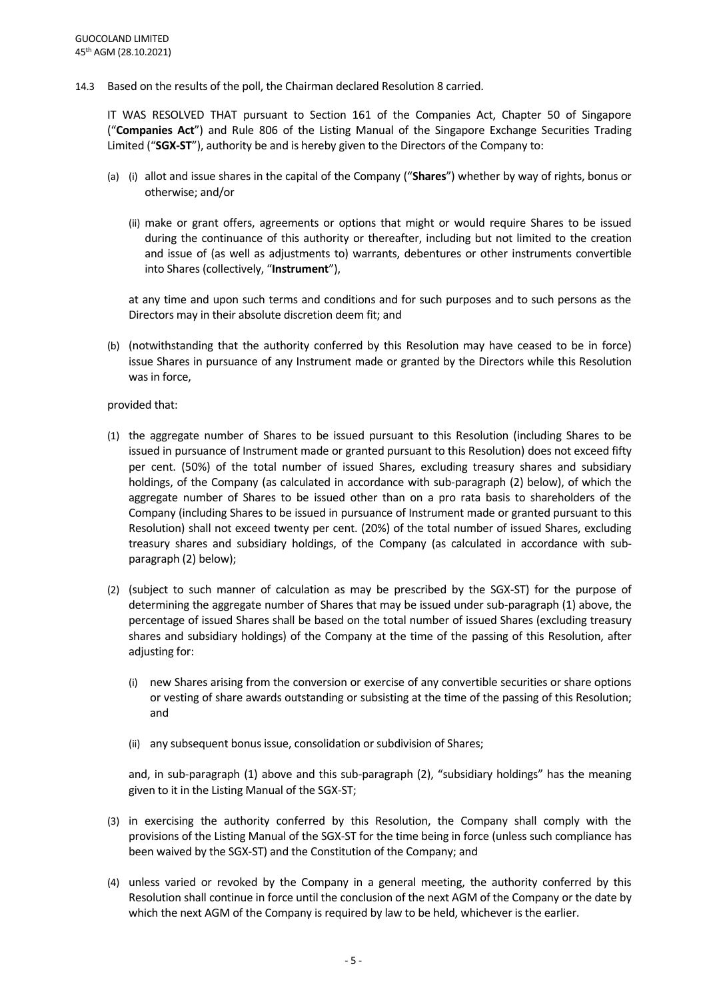14.3 Based on the results of the poll, the Chairman declared Resolution 8 carried.

IT WAS RESOLVED THAT pursuant to Section 161 of the Companies Act, Chapter 50 of Singapore ("**Companies Act**") and Rule 806 of the Listing Manual of the Singapore Exchange Securities Trading Limited ("**SGX-ST**"), authority be and is hereby given to the Directors of the Company to:

- (a) (i) allot and issue shares in the capital of the Company ("**Shares**") whether by way of rights, bonus or otherwise; and/or
	- (ii) make or grant offers, agreements or options that might or would require Shares to be issued during the continuance of this authority or thereafter, including but not limited to the creation and issue of (as well as adjustments to) warrants, debentures or other instruments convertible into Shares (collectively, "**Instrument**"),

at any time and upon such terms and conditions and for such purposes and to such persons as the Directors may in their absolute discretion deem fit; and

(b) (notwithstanding that the authority conferred by this Resolution may have ceased to be in force) issue Shares in pursuance of any Instrument made or granted by the Directors while this Resolution was in force,

#### provided that:

- (1) the aggregate number of Shares to be issued pursuant to this Resolution (including Shares to be issued in pursuance of Instrument made or granted pursuant to this Resolution) does not exceed fifty per cent. (50%) of the total number of issued Shares, excluding treasury shares and subsidiary holdings, of the Company (as calculated in accordance with sub-paragraph (2) below), of which the aggregate number of Shares to be issued other than on a pro rata basis to shareholders of the Company (including Shares to be issued in pursuance of Instrument made or granted pursuant to this Resolution) shall not exceed twenty per cent. (20%) of the total number of issued Shares, excluding treasury shares and subsidiary holdings, of the Company (as calculated in accordance with subparagraph (2) below);
- (2) (subject to such manner of calculation as may be prescribed by the SGX-ST) for the purpose of determining the aggregate number of Shares that may be issued under sub-paragraph (1) above, the percentage of issued Shares shall be based on the total number of issued Shares (excluding treasury shares and subsidiary holdings) of the Company at the time of the passing of this Resolution, after adjusting for:
	- (i) new Shares arising from the conversion or exercise of any convertible securities or share options or vesting of share awards outstanding or subsisting at the time of the passing of this Resolution; and
	- (ii) any subsequent bonus issue, consolidation or subdivision of Shares;

and, in sub-paragraph (1) above and this sub-paragraph (2), "subsidiary holdings" has the meaning given to it in the Listing Manual of the SGX-ST;

- (3) in exercising the authority conferred by this Resolution, the Company shall comply with the provisions of the Listing Manual of the SGX-ST for the time being in force (unless such compliance has been waived by the SGX-ST) and the Constitution of the Company; and
- (4) unless varied or revoked by the Company in a general meeting, the authority conferred by this Resolution shall continue in force until the conclusion of the next AGM of the Company or the date by which the next AGM of the Company is required by law to be held, whichever is the earlier.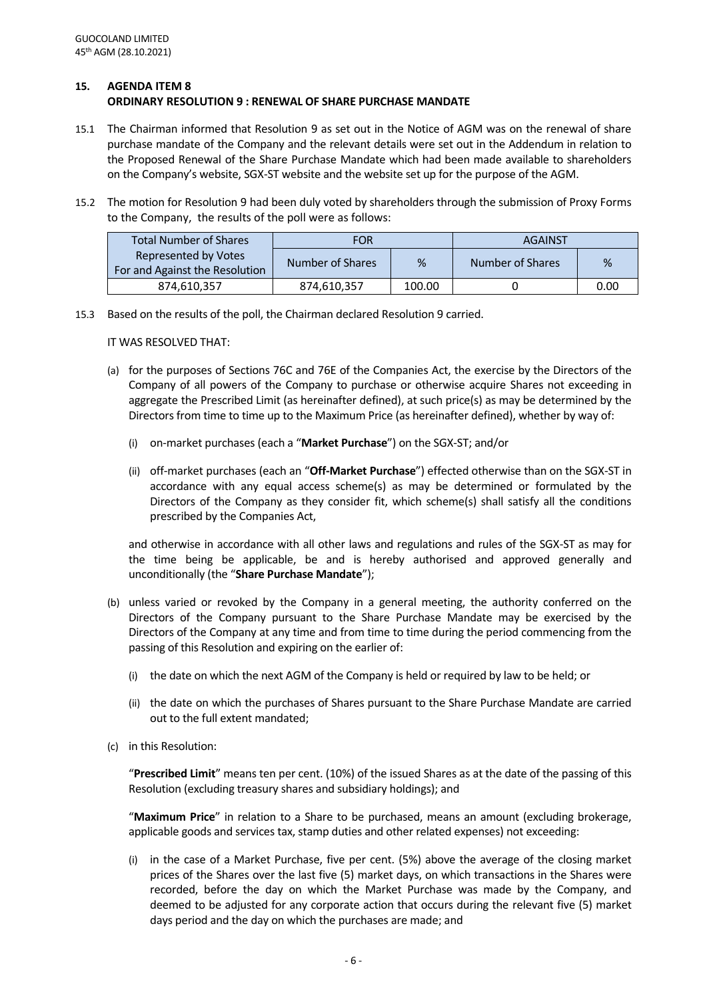#### **15. AGENDA ITEM 8 ORDINARY RESOLUTION 9 : RENEWAL OF SHARE PURCHASE MANDATE**

- 15.1 The Chairman informed that Resolution 9 as set out in the Notice of AGM was on the renewal of share purchase mandate of the Company and the relevant details were set out in the Addendum in relation to the Proposed Renewal of the Share Purchase Mandate which had been made available to shareholders on the Company's website, SGX-ST website and the website set up for the purpose of the AGM.
- 15.2 The motion for Resolution 9 had been duly voted by shareholders through the submission of Proxy Forms to the Company, the results of the poll were as follows:

| <b>Total Number of Shares</b>                                 | <b>FOR</b>       |        | <b>AGAINST</b>   |      |
|---------------------------------------------------------------|------------------|--------|------------------|------|
| <b>Represented by Votes</b><br>For and Against the Resolution | Number of Shares | %      | Number of Shares | %    |
| 874,610,357                                                   | 874,610,357      | 100.00 |                  | 0.00 |

15.3 Based on the results of the poll, the Chairman declared Resolution 9 carried.

IT WAS RESOLVED THAT:

- (a) for the purposes of Sections 76C and 76E of the Companies Act, the exercise by the Directors of the Company of all powers of the Company to purchase or otherwise acquire Shares not exceeding in aggregate the Prescribed Limit (as hereinafter defined), at such price(s) as may be determined by the Directors from time to time up to the Maximum Price (as hereinafter defined), whether by way of:
	- (i) on-market purchases (each a "**Market Purchase**") on the SGX-ST; and/or
	- (ii) off-market purchases (each an "**Off-Market Purchase**") effected otherwise than on the SGX-ST in accordance with any equal access scheme(s) as may be determined or formulated by the Directors of the Company as they consider fit, which scheme(s) shall satisfy all the conditions prescribed by the Companies Act,

and otherwise in accordance with all other laws and regulations and rules of the SGX-ST as may for the time being be applicable, be and is hereby authorised and approved generally and unconditionally (the "**Share Purchase Mandate**");

- (b) unless varied or revoked by the Company in a general meeting, the authority conferred on the Directors of the Company pursuant to the Share Purchase Mandate may be exercised by the Directors of the Company at any time and from time to time during the period commencing from the passing of this Resolution and expiring on the earlier of:
	- (i) the date on which the next AGM of the Company is held or required by law to be held; or
	- (ii) the date on which the purchases of Shares pursuant to the Share Purchase Mandate are carried out to the full extent mandated;
- (c) in this Resolution:

"**Prescribed Limit**" means ten per cent. (10%) of the issued Shares as at the date of the passing of this Resolution (excluding treasury shares and subsidiary holdings); and

"**Maximum Price**" in relation to a Share to be purchased, means an amount (excluding brokerage, applicable goods and services tax, stamp duties and other related expenses) not exceeding:

(i) in the case of a Market Purchase, five per cent. (5%) above the average of the closing market prices of the Shares over the last five (5) market days, on which transactions in the Shares were recorded, before the day on which the Market Purchase was made by the Company, and deemed to be adjusted for any corporate action that occurs during the relevant five (5) market days period and the day on which the purchases are made; and